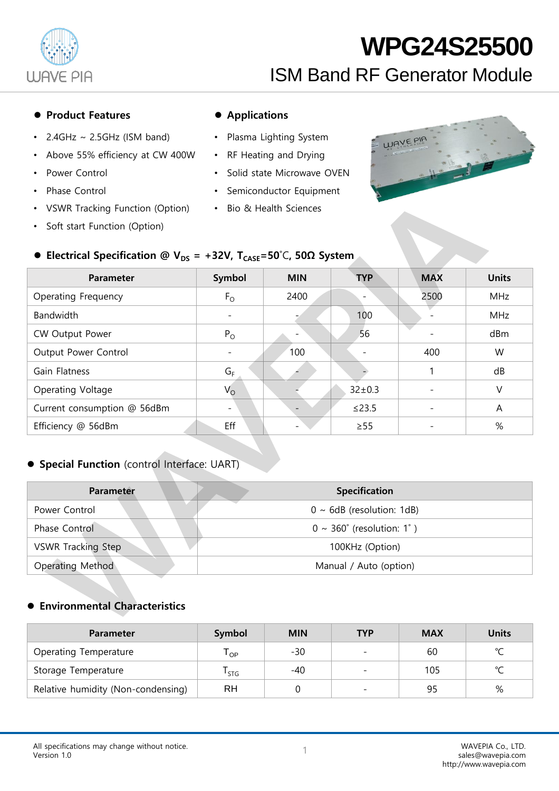

#### ● Product Features ● Applications

- 2.4GHz  $\sim$  2.5GHz (ISM band)
- Above 55% efficiency at CW 400W
- Power Control
- Phase Control
- VSWR Tracking Function (Option)
- Soft start Function (Option)

- Plasma Lighting System
- RF Heating and Drying
- Solid state Microwave OVEN
- Semiconductor Equipment
- Bio & Health Sciences



### ⚫ **Electrical Specification @ VDS = +32V, TCASE=50**˚C**, 50Ω System**

| <b>Parameter</b>            | Symbol      | <b>MIN</b> | <b>TYP</b>   | <b>MAX</b> | <b>Units</b> |
|-----------------------------|-------------|------------|--------------|------------|--------------|
| Operating Frequency         | $F_{\rm O}$ | 2400       |              | 2500       | <b>MHz</b>   |
| Bandwidth                   |             |            | 100          |            | <b>MHz</b>   |
| CW Output Power             | $P_{O}$     |            | 56           |            | dBm          |
| Output Power Control        |             | 100        |              | 400        | W            |
| Gain Flatness               | $G_F$       |            |              |            | dB           |
| Operating Voltage           | $V_{\rm O}$ |            | $32 \pm 0.3$ |            | V            |
| Current consumption @ 56dBm |             |            | $\leq$ 23.5  |            | A            |
| Efficiency @ 56dBm          | Eff         |            | $\geq$ 55    |            | %            |

### ⚫ **Special Function** (control Interface: UART)

| <b>Parameter</b>          | <b>Specification</b>                  |
|---------------------------|---------------------------------------|
| Power Control             | $0 \sim 6$ dB (resolution: 1dB)       |
| Phase Control             | $0 \sim 360^{\circ}$ (resolution: 1°) |
| <b>VSWR Tracking Step</b> | 100KHz (Option)                       |
| Operating Method          | Manual / Auto (option)                |

#### ⚫ **Environmental Characteristics**

| <b>Parameter</b>                   | Symbol     | <b>MIN</b> | <b>TYP</b> | <b>MAX</b> | <b>Units</b> |
|------------------------------------|------------|------------|------------|------------|--------------|
| Operating Temperature              | l op       | -30        |            | 60         | $\sim$       |
| Storage Temperature                | <b>STG</b> | -40        |            | 105        | $\sim$       |
| Relative humidity (Non-condensing) | RH         |            |            | 95         | %            |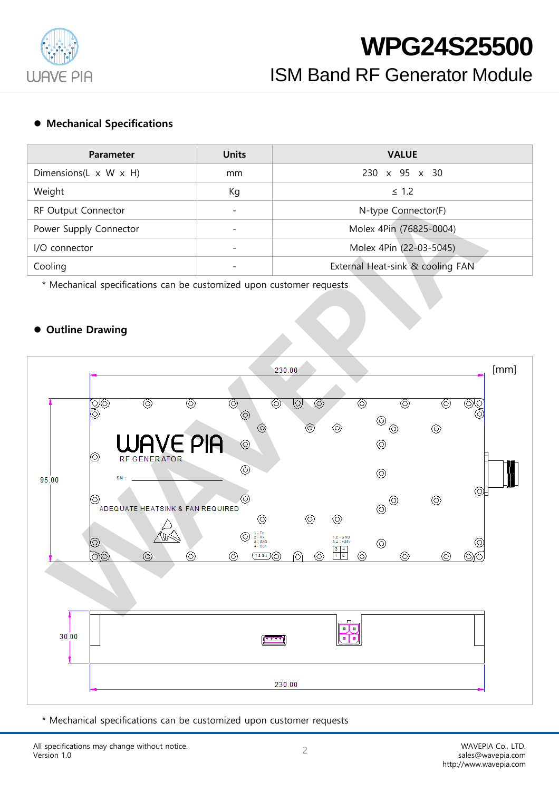

#### ⚫ **Mechanical Specifications**

| <b>Parameter</b>                    | <b>Units</b>             | <b>VALUE</b>                     |
|-------------------------------------|--------------------------|----------------------------------|
| Dimensions(L $\times$ W $\times$ H) | mm                       | $230 \times 95 \times 30$        |
| Weight                              | Кg                       | $\leq 1.2$                       |
| RF Output Connector                 | $\overline{\phantom{0}}$ | N-type Connector(F)              |
| Power Supply Connector              |                          | Molex 4Pin (76825-0004)          |
| I/O connector                       | $\overline{\phantom{0}}$ | Molex 4Pin (22-03-5045)          |
| Cooling                             |                          | External Heat-sink & cooling FAN |

\* Mechanical specifications can be customized upon customer requests

#### ⚫ **Outline Drawing**



\* Mechanical specifications can be customized upon customer requests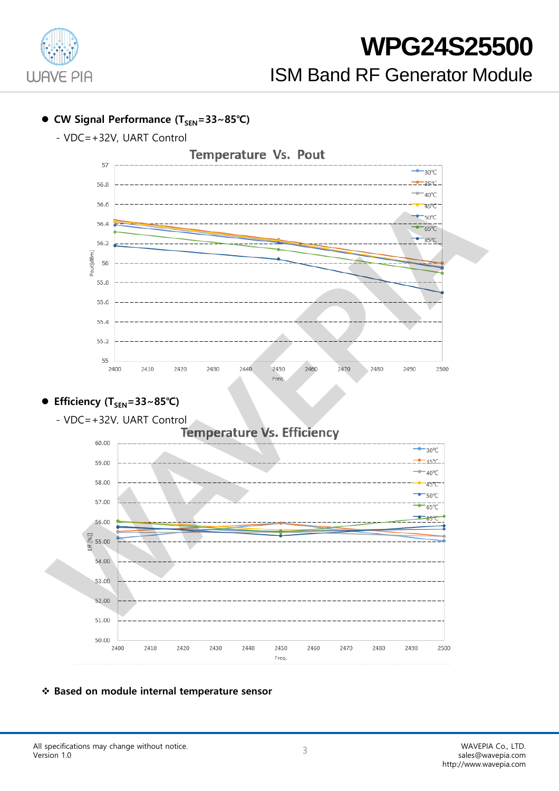

## ⚫ **CW Signal Performance (TSEN=33~85℃)**

- VDC=+32V, UART Control



### ⚫ **Efficiency (TSEN=33~85℃)**



### ❖ **Based on module internal temperature sensor**